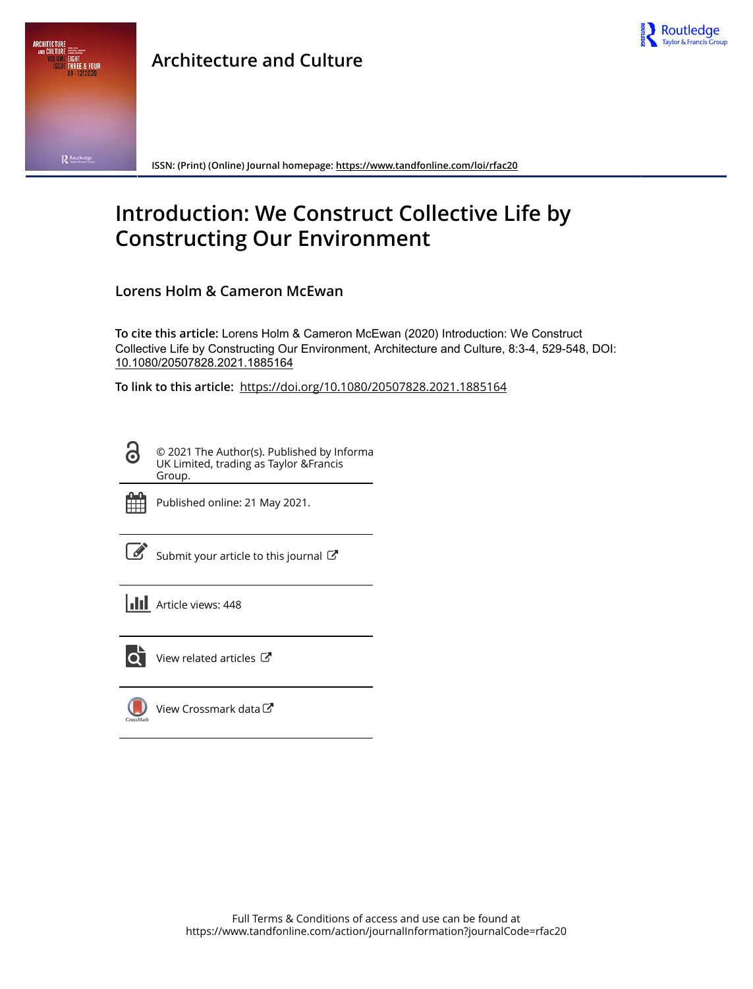



**ISSN: (Print) (Online) Journal homepage:<https://www.tandfonline.com/loi/rfac20>**

# **Introduction: We Construct Collective Life by Constructing Our Environment**

**Lorens Holm & Cameron McEwan**

**To cite this article:** Lorens Holm & Cameron McEwan (2020) Introduction: We Construct Collective Life by Constructing Our Environment, Architecture and Culture, 8:3-4, 529-548, DOI: [10.1080/20507828.2021.1885164](https://www.tandfonline.com/action/showCitFormats?doi=10.1080/20507828.2021.1885164)

**To link to this article:** <https://doi.org/10.1080/20507828.2021.1885164>

© 2021 The Author(s). Published by Informa UK Limited, trading as Taylor &Francis Group.



ര

Published online: 21 May 2021.

[Submit your article to this journal](https://www.tandfonline.com/action/authorSubmission?journalCode=rfac20&show=instructions)  $\mathbb{Z}$ 

**III** Article views: 448



 $\overline{Q}$  [View related articles](https://www.tandfonline.com/doi/mlt/10.1080/20507828.2021.1885164)  $\overline{C}$ 

[View Crossmark data](http://crossmark.crossref.org/dialog/?doi=10.1080/20507828.2021.1885164&domain=pdf&date_stamp=2021-05-21) $\mathbb{Z}$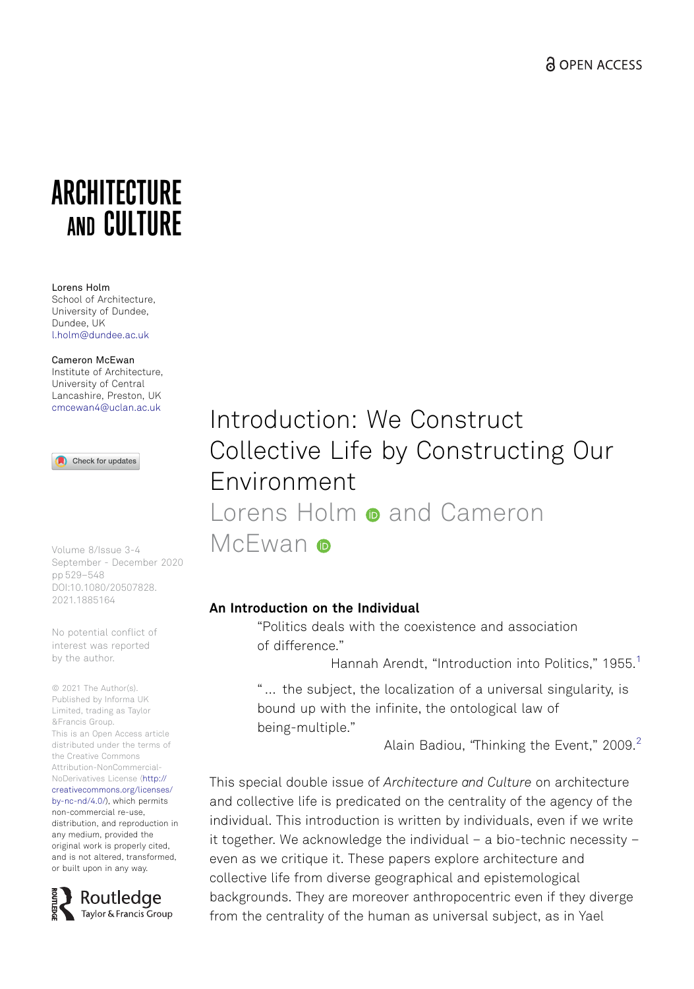# <span id="page-1-0"></span>**ARCHITECTURE** AND CULTURE

#### Lorens Holm

School of Architecture, University of Dundee, Dundee, UK l.holm@dundee.ac.uk

Cameron McEwan Institute of Architecture, University of Central Lancashire, Preston, UK cmcewan4@uclan.ac.uk

Check for updates

Volume 8/Issue 3-4 September - December 2020 pp 529–548 DOI:10.1080/20507828. 2021.1885164

No potential conflict of interest was reported by the author.

© 2021 The Author(s). Published by Informa UK Limited, trading as Taylor &Francis Group. This is an Open Access article distributed under the terms of the Creative Commons Attribution-NonCommercial-NoDerivatives License (http:// creativecommons.org/licenses/ by-nc-nd/4.0/), which permits non-commercial re-use, distribution, and reproduction in any medium, provided the original work is properly cited, and is not altered, transformed, or built upon in any way.



Introduction: We Construct Collective Life by Constructing Our Environment Lorens Holm **a** and Cameron McFwan o

# An Introduction on the Individual

"Politics deals with the coexistence and association of difference."

Hannah Arendt, "Introduction into Politics," [1](#page-16-0)955.<sup>1</sup>

" … the subject, the localization of a universal singularity, is bound up with the infinite, the ontological law of being-multiple."

Alain Badiou, "Thinking the Event," [2](#page-16-0)009.<sup>2</sup>

This special double issue of Architecture and Culture on architecture and collective life is predicated on the centrality of the agency of the individual. This introduction is written by individuals, even if we write it together. We acknowledge the individual – a bio-technic necessity – even as we critique it. These papers explore architecture and collective life from diverse geographical and epistemological backgrounds. They are moreover anthropocentric even if they diverge from the centrality of the human as universal subject, as in Yael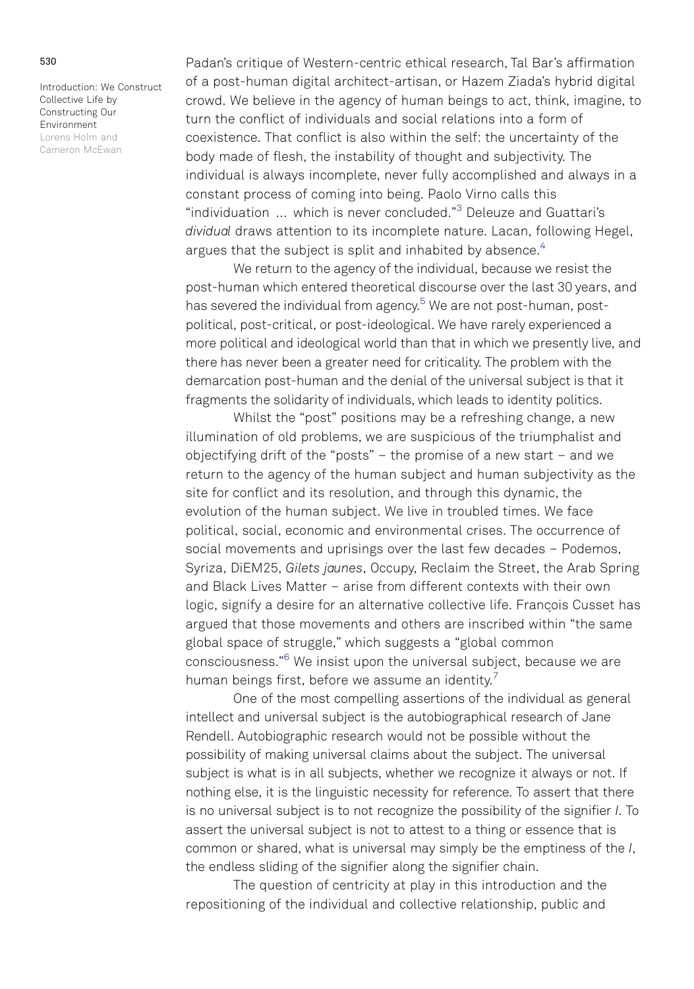<span id="page-2-0"></span>Padan's critique of Western-centric ethical research, Tal Bar's affirmation of a post-human digital architect-artisan, or Hazem Ziada's hybrid digital crowd. We believe in the agency of human beings to act, think, imagine, to turn the conflict of individuals and social relations into a form of coexistence. That conflict is also within the self: the uncertainty of the body made of flesh, the instability of thought and subjectivity. The individual is always incomplete, never fully accomplished and always in a constant process of coming into being. Paolo Virno calls this "individuation … which is never concluded." [3](#page-16-0) Deleuze and Guattari's dividual draws attention to its incomplete nature. Lacan, following Hegel, argues that the subject is split and inhabited by absence.<sup>4</sup>

We return to the agency of the individual, because we resist the post-human which entered theoretical discourse over the last 30 years, and has severed the individual from agency.<sup>[5](#page-17-0)</sup> We are not post-human, postpolitical, post-critical, or post-ideological. We have rarely experienced a more political and ideological world than that in which we presently live, and there has never been a greater need for criticality. The problem with the demarcation post-human and the denial of the universal subject is that it fragments the solidarity of individuals, which leads to identity politics.

Whilst the "post" positions may be a refreshing change, a new illumination of old problems, we are suspicious of the triumphalist and objectifying drift of the "posts" – the promise of a new start – and we return to the agency of the human subject and human subjectivity as the site for conflict and its resolution, and through this dynamic, the evolution of the human subject. We live in troubled times. We face political, social, economic and environmental crises. The occurrence of social movements and uprisings over the last few decades – Podemos, Syriza, DiEM25, Gilets jaunes, Occupy, Reclaim the Street, the Arab Spring and Black Lives Matter – arise from different contexts with their own logic, signify a desire for an alternative collective life. Francois Cusset has argued that those movements and others are inscribed within "the same global space of struggle," which suggests a "global common consciousness."<sup>[6](#page-17-0)</sup> We insist upon the universal subject, because we are human beings first, before we assume an identity.<sup>7</sup>

One of the most compelling assertions of the individual as general intellect and universal subject is the autobiographical research of Jane Rendell. Autobiographic research would not be possible without the possibility of making universal claims about the subject. The universal subject is what is in all subjects, whether we recognize it always or not. If nothing else, it is the linguistic necessity for reference. To assert that there is no universal subject is to not recognize the possibility of the signifier I. To assert the universal subject is not to attest to a thing or essence that is common or shared, what is universal may simply be the emptiness of the I, the endless sliding of the signifier along the signifier chain.

The question of centricity at play in this introduction and the repositioning of the individual and collective relationship, public and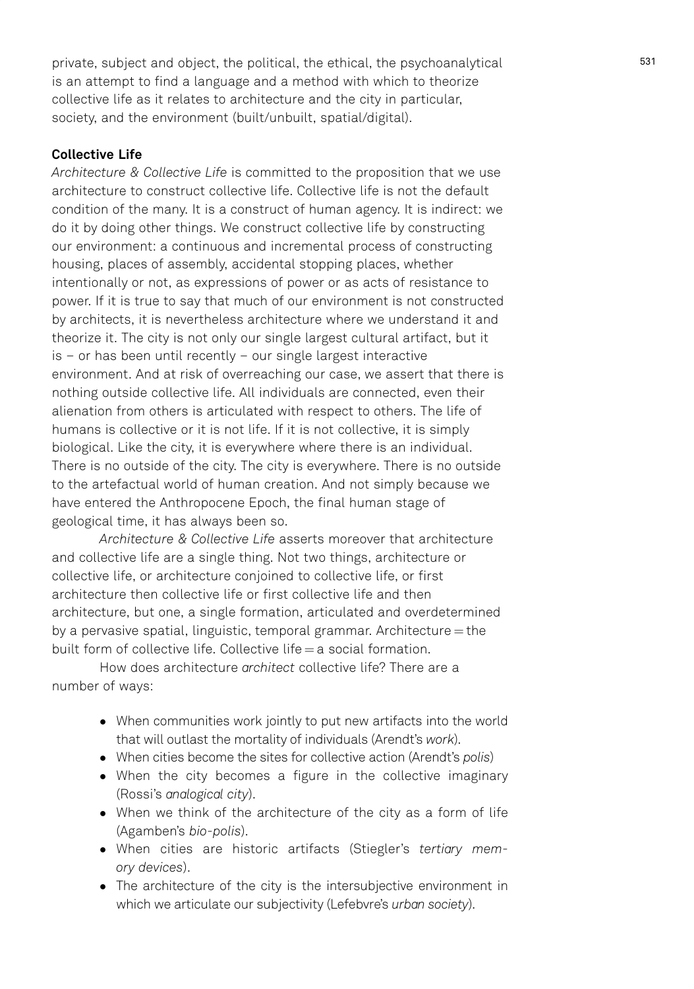private, subject and object, the political, the ethical, the psychoanalytical is an attempt to find a language and a method with which to theorize collective life as it relates to architecture and the city in particular, society, and the environment (built/unbuilt, spatial/digital).

# Collective Life

Architecture & Collective Life is committed to the proposition that we use architecture to construct collective life. Collective life is not the default condition of the many. It is a construct of human agency. It is indirect: we do it by doing other things. We construct collective life by constructing our environment: a continuous and incremental process of constructing housing, places of assembly, accidental stopping places, whether intentionally or not, as expressions of power or as acts of resistance to power. If it is true to say that much of our environment is not constructed by architects, it is nevertheless architecture where we understand it and theorize it. The city is not only our single largest cultural artifact, but it is – or has been until recently – our single largest interactive environment. And at risk of overreaching our case, we assert that there is nothing outside collective life. All individuals are connected, even their alienation from others is articulated with respect to others. The life of humans is collective or it is not life. If it is not collective, it is simply biological. Like the city, it is everywhere where there is an individual. There is no outside of the city. The city is everywhere. There is no outside to the artefactual world of human creation. And not simply because we have entered the Anthropocene Epoch, the final human stage of geological time, it has always been so.

Architecture & Collective Life asserts moreover that architecture and collective life are a single thing. Not two things, architecture or collective life, or architecture conjoined to collective life, or first architecture then collective life or first collective life and then architecture, but one, a single formation, articulated and overdetermined by a pervasive spatial, linguistic, temporal grammar. Architecture = the built form of collective life. Collective life  $=$  a social formation.

How does architecture architect collective life? There are a number of ways:

- When communities work jointly to put new artifacts into the world that will outlast the mortality of individuals (Arendt's work).
- When cities become the sites for collective action (Arendt's polis)
- When the city becomes a figure in the collective imaginary (Rossi's analogical city).
- When we think of the architecture of the city as a form of life (Agamben's bio-polis).
- When cities are historic artifacts (Stiegler's tertiary memory devices).
- The architecture of the city is the intersubjective environment in which we articulate our subjectivity (Lefebvre's urban society).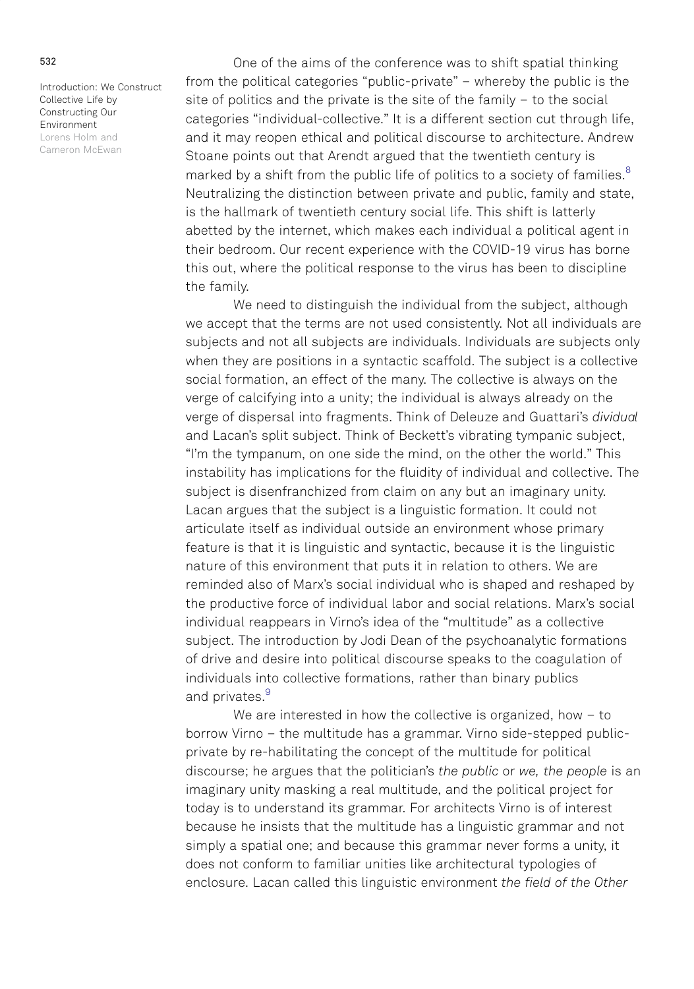<span id="page-4-0"></span>One of the aims of the conference was to shift spatial thinking from the political categories "public-private" – whereby the public is the site of politics and the private is the site of the family – to the social categories "individual-collective." It is a different section cut through life, and it may reopen ethical and political discourse to architecture. Andrew Stoane points out that Arendt argued that the twentieth century is marked by a shift from the public life of politics to a society of families.<sup>[8](#page-17-0)</sup> Neutralizing the distinction between private and public, family and state, is the hallmark of twentieth century social life. This shift is latterly abetted by the internet, which makes each individual a political agent in their bedroom. Our recent experience with the COVID-19 virus has borne this out, where the political response to the virus has been to discipline the family.

We need to distinguish the individual from the subject, although we accept that the terms are not used consistently. Not all individuals are subjects and not all subjects are individuals. Individuals are subjects only when they are positions in a syntactic scaffold. The subject is a collective social formation, an effect of the many. The collective is always on the verge of calcifying into a unity; the individual is always already on the verge of dispersal into fragments. Think of Deleuze and Guattari's dividual and Lacan's split subject. Think of Beckett's vibrating tympanic subject, "I'm the tympanum, on one side the mind, on the other the world." This instability has implications for the fluidity of individual and collective. The subject is disenfranchized from claim on any but an imaginary unity. Lacan argues that the subject is a linguistic formation. It could not articulate itself as individual outside an environment whose primary feature is that it is linguistic and syntactic, because it is the linguistic nature of this environment that puts it in relation to others. We are reminded also of Marx's social individual who is shaped and reshaped by the productive force of individual labor and social relations. Marx's social individual reappears in Virno's idea of the "multitude" as a collective subject. The introduction by Jodi Dean of the psychoanalytic formations of drive and desire into political discourse speaks to the coagulation of individuals into collective formations, rather than binary publics and privates.<sup>[9](#page-17-0)</sup>

We are interested in how the collective is organized, how – to borrow Virno – the multitude has a grammar. Virno side-stepped publicprivate by re-habilitating the concept of the multitude for political discourse; he argues that the politician's the public or we, the people is an imaginary unity masking a real multitude, and the political project for today is to understand its grammar. For architects Virno is of interest because he insists that the multitude has a linguistic grammar and not simply a spatial one; and because this grammar never forms a unity, it does not conform to familiar unities like architectural typologies of enclosure. Lacan called this linguistic environment the field of the Other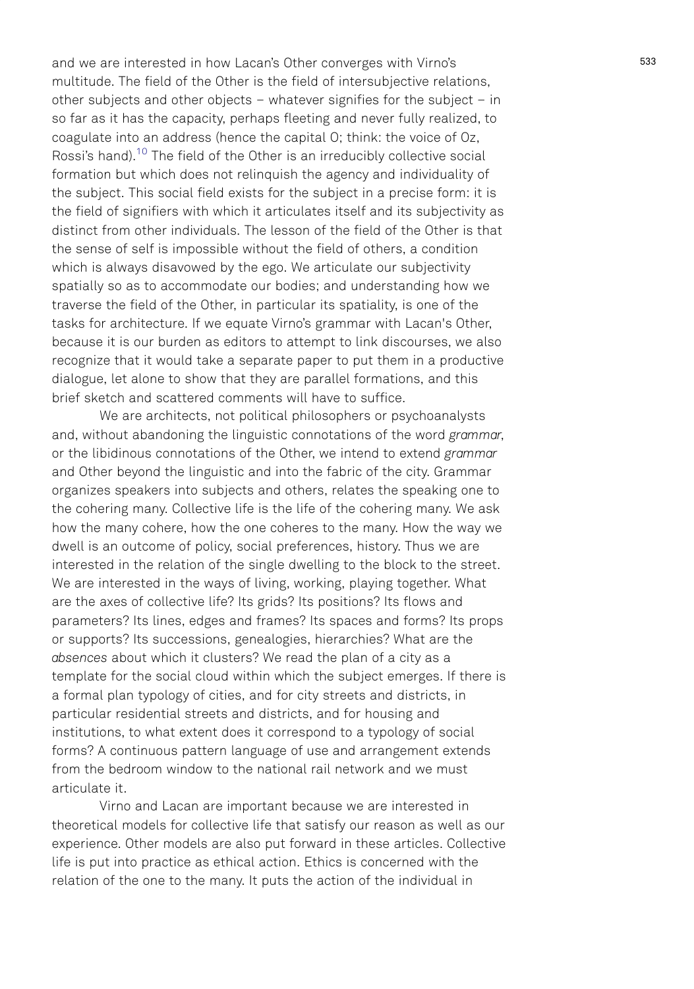<span id="page-5-0"></span>and we are interested in how Lacan's Other converges with Virno's multitude. The field of the Other is the field of intersubjective relations, other subjects and other objects – whatever signifies for the subject – in so far as it has the capacity, perhaps fleeting and never fully realized, to coagulate into an address (hence the capital O; think: the voice of Oz, Rossi's hand).<sup>[10](#page-17-0)</sup> The field of the Other is an irreducibly collective social formation but which does not relinquish the agency and individuality of the subject. This social field exists for the subject in a precise form: it is the field of signifiers with which it articulates itself and its subjectivity as distinct from other individuals. The lesson of the field of the Other is that the sense of self is impossible without the field of others, a condition which is always disavowed by the ego. We articulate our subjectivity spatially so as to accommodate our bodies; and understanding how we traverse the field of the Other, in particular its spatiality, is one of the tasks for architecture. If we equate Virno's grammar with Lacan's Other, because it is our burden as editors to attempt to link discourses, we also recognize that it would take a separate paper to put them in a productive dialogue, let alone to show that they are parallel formations, and this brief sketch and scattered comments will have to suffice.

We are architects, not political philosophers or psychoanalysts and, without abandoning the linguistic connotations of the word grammar, or the libidinous connotations of the Other, we intend to extend grammar and Other beyond the linguistic and into the fabric of the city. Grammar organizes speakers into subjects and others, relates the speaking one to the cohering many. Collective life is the life of the cohering many. We ask how the many cohere, how the one coheres to the many. How the way we dwell is an outcome of policy, social preferences, history. Thus we are interested in the relation of the single dwelling to the block to the street. We are interested in the ways of living, working, playing together. What are the axes of collective life? Its grids? Its positions? Its flows and parameters? Its lines, edges and frames? Its spaces and forms? Its props or supports? Its successions, genealogies, hierarchies? What are the absences about which it clusters? We read the plan of a city as a template for the social cloud within which the subject emerges. If there is a formal plan typology of cities, and for city streets and districts, in particular residential streets and districts, and for housing and institutions, to what extent does it correspond to a typology of social forms? A continuous pattern language of use and arrangement extends from the bedroom window to the national rail network and we must articulate it.

Virno and Lacan are important because we are interested in theoretical models for collective life that satisfy our reason as well as our experience. Other models are also put forward in these articles. Collective life is put into practice as ethical action. Ethics is concerned with the relation of the one to the many. It puts the action of the individual in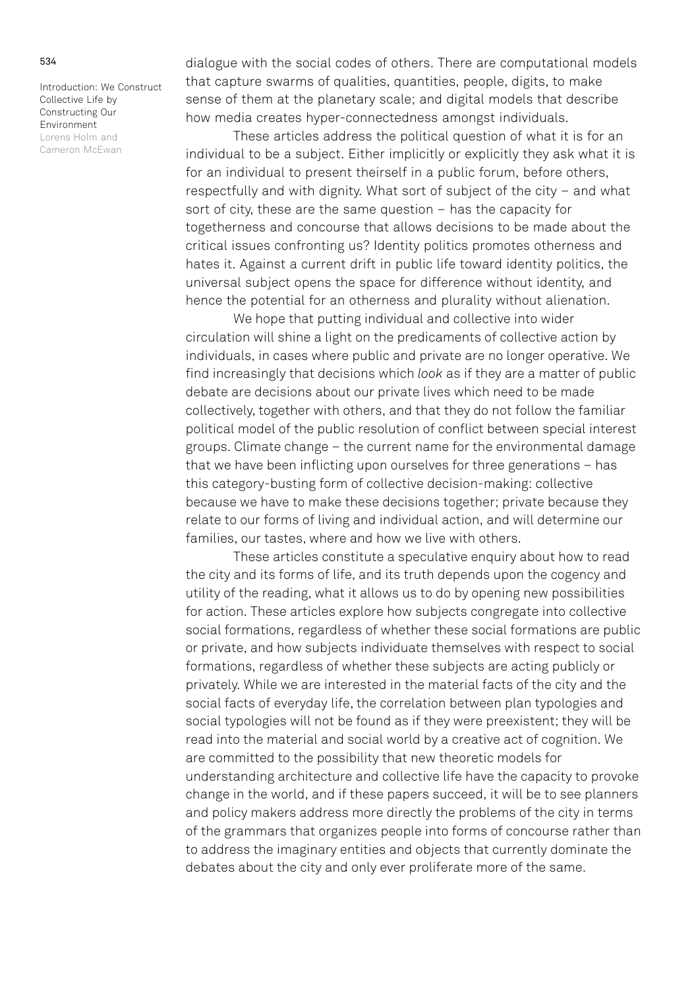dialogue with the social codes of others. There are computational models that capture swarms of qualities, quantities, people, digits, to make sense of them at the planetary scale; and digital models that describe how media creates hyper-connectedness amongst individuals.

These articles address the political question of what it is for an individual to be a subject. Either implicitly or explicitly they ask what it is for an individual to present theirself in a public forum, before others, respectfully and with dignity. What sort of subject of the city – and what sort of city, these are the same question – has the capacity for togetherness and concourse that allows decisions to be made about the critical issues confronting us? Identity politics promotes otherness and hates it. Against a current drift in public life toward identity politics, the universal subject opens the space for difference without identity, and hence the potential for an otherness and plurality without alienation.

We hope that putting individual and collective into wider circulation will shine a light on the predicaments of collective action by individuals, in cases where public and private are no longer operative. We find increasingly that decisions which look as if they are a matter of public debate are decisions about our private lives which need to be made collectively, together with others, and that they do not follow the familiar political model of the public resolution of conflict between special interest groups. Climate change – the current name for the environmental damage that we have been inflicting upon ourselves for three generations – has this category-busting form of collective decision-making: collective because we have to make these decisions together; private because they relate to our forms of living and individual action, and will determine our families, our tastes, where and how we live with others.

These articles constitute a speculative enquiry about how to read the city and its forms of life, and its truth depends upon the cogency and utility of the reading, what it allows us to do by opening new possibilities for action. These articles explore how subjects congregate into collective social formations, regardless of whether these social formations are public or private, and how subjects individuate themselves with respect to social formations, regardless of whether these subjects are acting publicly or privately. While we are interested in the material facts of the city and the social facts of everyday life, the correlation between plan typologies and social typologies will not be found as if they were preexistent; they will be read into the material and social world by a creative act of cognition. We are committed to the possibility that new theoretic models for understanding architecture and collective life have the capacity to provoke change in the world, and if these papers succeed, it will be to see planners and policy makers address more directly the problems of the city in terms of the grammars that organizes people into forms of concourse rather than to address the imaginary entities and objects that currently dominate the debates about the city and only ever proliferate more of the same.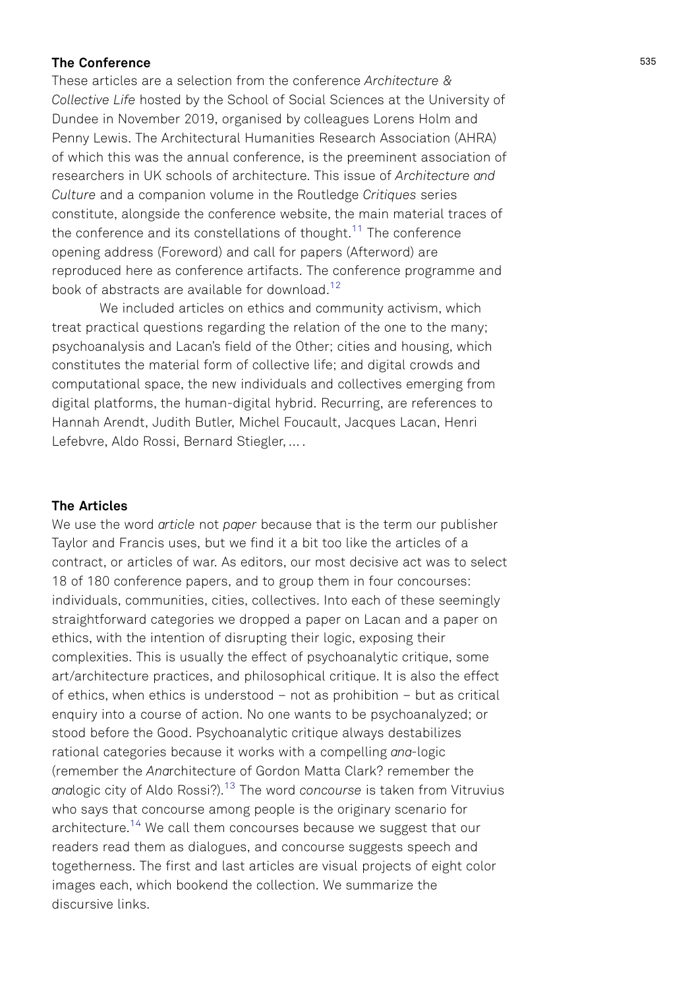# <span id="page-7-0"></span>The Conference

These articles are a selection from the conference Architecture & Collective Life hosted by the School of Social Sciences at the University of Dundee in November 2019, organised by colleagues Lorens Holm and Penny Lewis. The Architectural Humanities Research Association (AHRA) of which this was the annual conference, is the preeminent association of researchers in UK schools of architecture. This issue of Architecture and Culture and a companion volume in the Routledge Critiques series constitute, alongside the conference website, the main material traces of the conference and its constellations of thought.<sup>11</sup> The conference opening address (Foreword) and call for papers (Afterword) are reproduced here as conference artifacts. The conference programme and book of abstracts are available for download.<sup>12</sup>

We included articles on ethics and community activism, which treat practical questions regarding the relation of the one to the many; psychoanalysis and Lacan's field of the Other; cities and housing, which constitutes the material form of collective life; and digital crowds and computational space, the new individuals and collectives emerging from digital platforms, the human-digital hybrid. Recurring, are references to Hannah Arendt, Judith Butler, Michel Foucault, Jacques Lacan, Henri Lefebvre, Aldo Rossi, Bernard Stiegler, … .

# The Articles

We use the word article not paper because that is the term our publisher Taylor and Francis uses, but we find it a bit too like the articles of a contract, or articles of war. As editors, our most decisive act was to select 18 of 180 conference papers, and to group them in four concourses: individuals, communities, cities, collectives. Into each of these seemingly straightforward categories we dropped a paper on Lacan and a paper on ethics, with the intention of disrupting their logic, exposing their complexities. This is usually the effect of psychoanalytic critique, some art/architecture practices, and philosophical critique. It is also the effect of ethics, when ethics is understood – not as prohibition – but as critical enquiry into a course of action. No one wants to be psychoanalyzed; or stood before the Good. Psychoanalytic critique always destabilizes rational categories because it works with a compelling ana-logic (remember the Anarchitecture of Gordon Matta Clark? remember the analogic city of Aldo Rossi?).<sup>13</sup> The word concourse is taken from Vitruvius who says that concourse among people is the originary scenario for architecture.<sup>14</sup> We call them concourses because we suggest that our readers read them as dialogues, and concourse suggests speech and togetherness. The first and last articles are visual projects of eight color images each, which bookend the collection. We summarize the discursive links.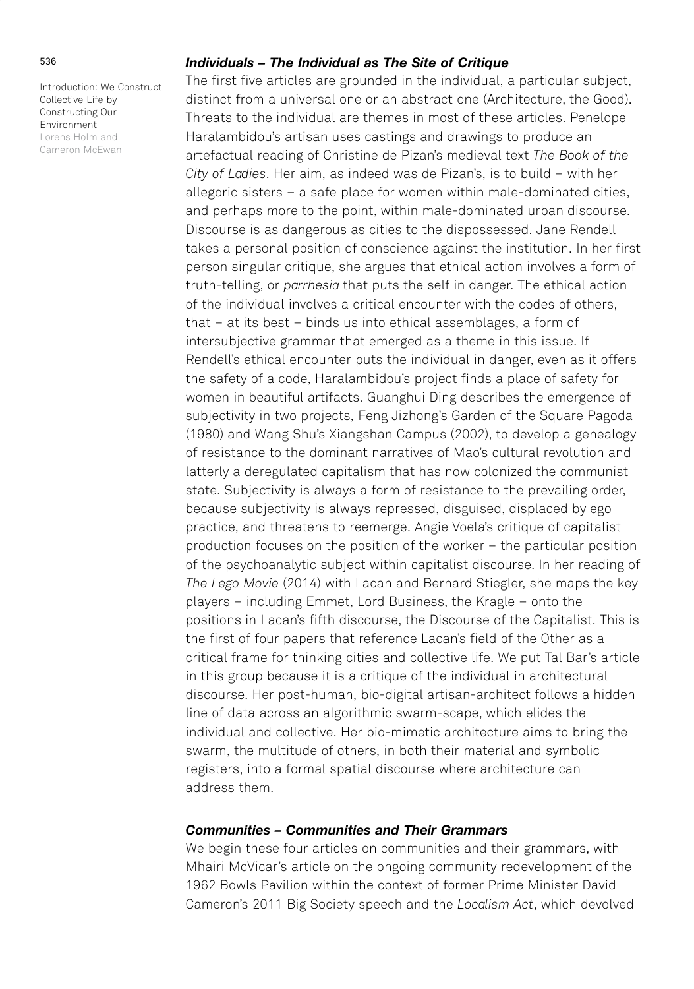### 536

Introduction: We Construct Collective Life by Constructing Our Environment Lorens Holm and Cameron McEwan

## Individuals – The Individual as The Site of Critique

The first five articles are grounded in the individual, a particular subject, distinct from a universal one or an abstract one (Architecture, the Good). Threats to the individual are themes in most of these articles. Penelope Haralambidou's artisan uses castings and drawings to produce an artefactual reading of Christine de Pizan's medieval text The Book of the City of Ladies. Her aim, as indeed was de Pizan's, is to build – with her allegoric sisters – a safe place for women within male-dominated cities, and perhaps more to the point, within male-dominated urban discourse. Discourse is as dangerous as cities to the dispossessed. Jane Rendell takes a personal position of conscience against the institution. In her first person singular critique, she argues that ethical action involves a form of truth-telling, or parrhesia that puts the self in danger. The ethical action of the individual involves a critical encounter with the codes of others, that – at its best – binds us into ethical assemblages, a form of intersubjective grammar that emerged as a theme in this issue. If Rendell's ethical encounter puts the individual in danger, even as it offers the safety of a code, Haralambidou's project finds a place of safety for women in beautiful artifacts. Guanghui Ding describes the emergence of subjectivity in two projects, Feng Jizhong's Garden of the Square Pagoda (1980) and Wang Shu's Xiangshan Campus (2002), to develop a genealogy of resistance to the dominant narratives of Mao's cultural revolution and latterly a deregulated capitalism that has now colonized the communist state. Subjectivity is always a form of resistance to the prevailing order, because subjectivity is always repressed, disguised, displaced by ego practice, and threatens to reemerge. Angie Voela's critique of capitalist production focuses on the position of the worker – the particular position of the psychoanalytic subject within capitalist discourse. In her reading of The Lego Movie (2014) with Lacan and Bernard Stiegler, she maps the key players – including Emmet, Lord Business, the Kragle – onto the positions in Lacan's fifth discourse, the Discourse of the Capitalist. This is the first of four papers that reference Lacan's field of the Other as a critical frame for thinking cities and collective life. We put Tal Bar's article in this group because it is a critique of the individual in architectural discourse. Her post-human, bio-digital artisan-architect follows a hidden line of data across an algorithmic swarm-scape, which elides the individual and collective. Her bio-mimetic architecture aims to bring the swarm, the multitude of others, in both their material and symbolic registers, into a formal spatial discourse where architecture can address them.

# Communities – Communities and Their Grammars

We begin these four articles on communities and their grammars, with Mhairi McVicar's article on the ongoing community redevelopment of the 1962 Bowls Pavilion within the context of former Prime Minister David Cameron's 2011 Big Society speech and the Localism Act, which devolved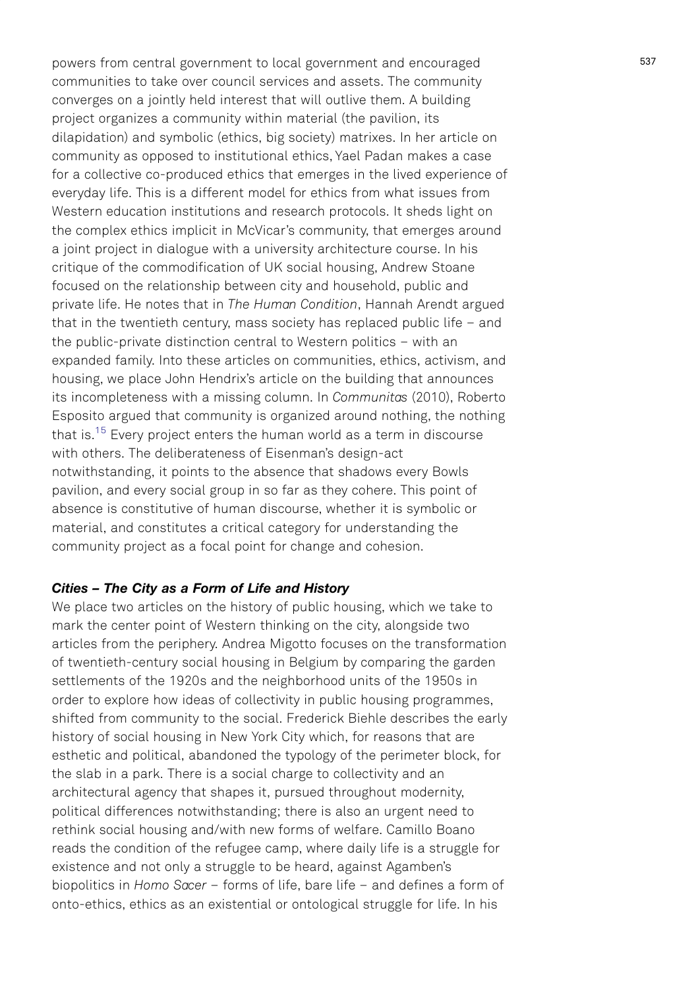<span id="page-9-0"></span>powers from central government to local government and encouraged communities to take over council services and assets. The community converges on a jointly held interest that will outlive them. A building project organizes a community within material (the pavilion, its dilapidation) and symbolic (ethics, big society) matrixes. In her article on community as opposed to institutional ethics, Yael Padan makes a case for a collective co-produced ethics that emerges in the lived experience of everyday life. This is a different model for ethics from what issues from Western education institutions and research protocols. It sheds light on the complex ethics implicit in McVicar's community, that emerges around a joint project in dialogue with a university architecture course. In his critique of the commodification of UK social housing, Andrew Stoane focused on the relationship between city and household, public and private life. He notes that in The Human Condition, Hannah Arendt argued that in the twentieth century, mass society has replaced public life – and the public-private distinction central to Western politics – with an expanded family. Into these articles on communities, ethics, activism, and housing, we place John Hendrix's article on the building that announces its incompleteness with a missing column. In Communitas (2010), Roberto Esposito argued that community is organized around nothing, the nothing that is.<sup>[15](#page-18-0)</sup> Every project enters the human world as a term in discourse with others. The deliberateness of Eisenman's design-act notwithstanding, it points to the absence that shadows every Bowls pavilion, and every social group in so far as they cohere. This point of absence is constitutive of human discourse, whether it is symbolic or material, and constitutes a critical category for understanding the community project as a focal point for change and cohesion.

# Cities – The City as a Form of Life and History

We place two articles on the history of public housing, which we take to mark the center point of Western thinking on the city, alongside two articles from the periphery. Andrea Migotto focuses on the transformation of twentieth-century social housing in Belgium by comparing the garden settlements of the 1920s and the neighborhood units of the 1950s in order to explore how ideas of collectivity in public housing programmes, shifted from community to the social. Frederick Biehle describes the early history of social housing in New York City which, for reasons that are esthetic and political, abandoned the typology of the perimeter block, for the slab in a park. There is a social charge to collectivity and an architectural agency that shapes it, pursued throughout modernity, political differences notwithstanding; there is also an urgent need to rethink social housing and/with new forms of welfare. Camillo Boano reads the condition of the refugee camp, where daily life is a struggle for existence and not only a struggle to be heard, against Agamben's biopolitics in Homo Sacer – forms of life, bare life – and defines a form of onto-ethics, ethics as an existential or ontological struggle for life. In his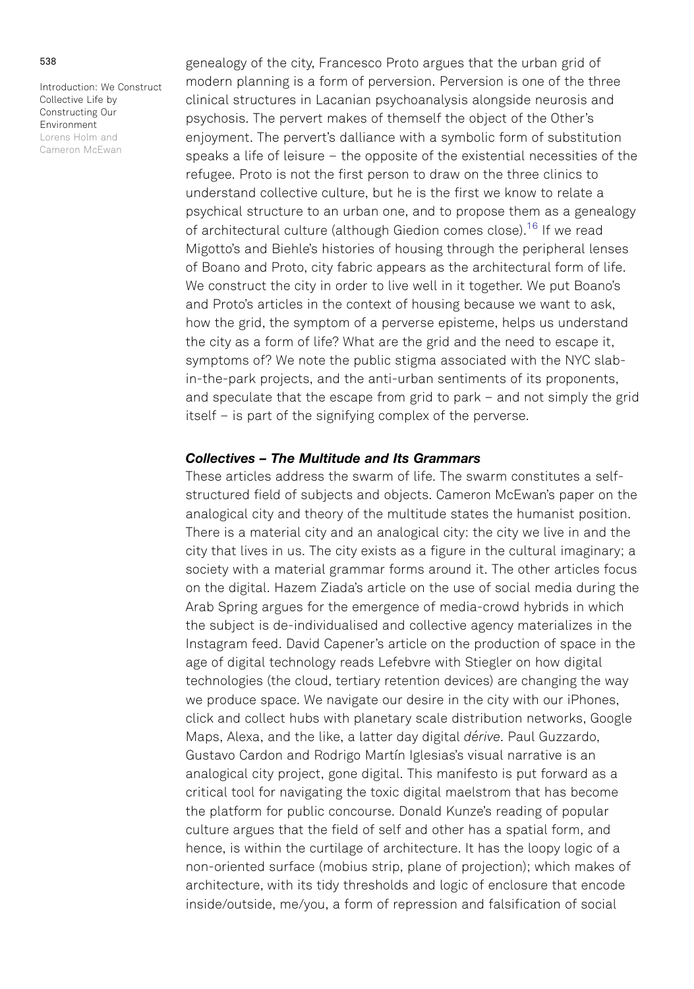<span id="page-10-0"></span>genealogy of the city, Francesco Proto argues that the urban grid of modern planning is a form of perversion. Perversion is one of the three clinical structures in Lacanian psychoanalysis alongside neurosis and psychosis. The pervert makes of themself the object of the Other's enjoyment. The pervert's dalliance with a symbolic form of substitution speaks a life of leisure – the opposite of the existential necessities of the refugee. Proto is not the first person to draw on the three clinics to understand collective culture, but he is the first we know to relate a psychical structure to an urban one, and to propose them as a genealogy of architectural culture (although Giedion comes close)[.16](#page-18-0) If we read Migotto's and Biehle's histories of housing through the peripheral lenses of Boano and Proto, city fabric appears as the architectural form of life. We construct the city in order to live well in it together. We put Boano's and Proto's articles in the context of housing because we want to ask, how the grid, the symptom of a perverse episteme, helps us understand the city as a form of life? What are the grid and the need to escape it, symptoms of? We note the public stigma associated with the NYC slabin-the-park projects, and the anti-urban sentiments of its proponents, and speculate that the escape from grid to park – and not simply the grid itself – is part of the signifying complex of the perverse.

## Collectives – The Multitude and Its Grammars

These articles address the swarm of life. The swarm constitutes a selfstructured field of subjects and objects. Cameron McEwan's paper on the analogical city and theory of the multitude states the humanist position. There is a material city and an analogical city: the city we live in and the city that lives in us. The city exists as a figure in the cultural imaginary; a society with a material grammar forms around it. The other articles focus on the digital. Hazem Ziada's article on the use of social media during the Arab Spring argues for the emergence of media-crowd hybrids in which the subject is de-individualised and collective agency materializes in the Instagram feed. David Capener's article on the production of space in the age of digital technology reads Lefebvre with Stiegler on how digital technologies (the cloud, tertiary retention devices) are changing the way we produce space. We navigate our desire in the city with our iPhones, click and collect hubs with planetary scale distribution networks, Google Maps, Alexa, and the like, a latter day digital dérive. Paul Guzzardo, Gustavo Cardon and Rodrigo Martín Iglesias's visual narrative is an analogical city project, gone digital. This manifesto is put forward as a critical tool for navigating the toxic digital maelstrom that has become the platform for public concourse. Donald Kunze's reading of popular culture argues that the field of self and other has a spatial form, and hence, is within the curtilage of architecture. It has the loopy logic of a non-oriented surface (mobius strip, plane of projection); which makes of architecture, with its tidy thresholds and logic of enclosure that encode inside/outside, me/you, a form of repression and falsification of social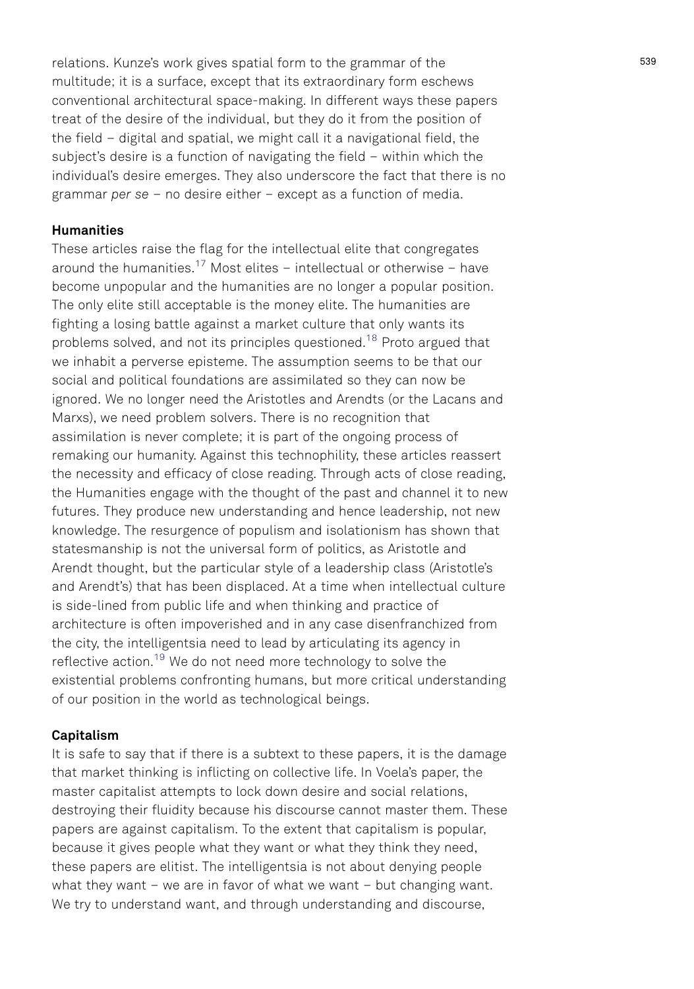<span id="page-11-0"></span>relations. Kunze's work gives spatial form to the grammar of the multitude; it is a surface, except that its extraordinary form eschews conventional architectural space-making. In different ways these papers treat of the desire of the individual, but they do it from the position of the field – digital and spatial, we might call it a navigational field, the subject's desire is a function of navigating the field – within which the individual's desire emerges. They also underscore the fact that there is no grammar per se – no desire either – except as a function of media.

# Humanities

These articles raise the flag for the intellectual elite that congregates around the humanities.<sup>[17](#page-18-0)</sup> Most elites – intellectual or otherwise – have become unpopular and the humanities are no longer a popular position. The only elite still acceptable is the money elite. The humanities are fighting a losing battle against a market culture that only wants its problems solved, and not its principles questioned.<sup>[18](#page-18-0)</sup> Proto argued that we inhabit a perverse episteme. The assumption seems to be that our social and political foundations are assimilated so they can now be ignored. We no longer need the Aristotles and Arendts (or the Lacans and Marxs), we need problem solvers. There is no recognition that assimilation is never complete; it is part of the ongoing process of remaking our humanity. Against this technophility, these articles reassert the necessity and efficacy of close reading. Through acts of close reading, the Humanities engage with the thought of the past and channel it to new futures. They produce new understanding and hence leadership, not new knowledge. The resurgence of populism and isolationism has shown that statesmanship is not the universal form of politics, as Aristotle and Arendt thought, but the particular style of a leadership class (Aristotle's and Arendt's) that has been displaced. At a time when intellectual culture is side-lined from public life and when thinking and practice of architecture is often impoverished and in any case disenfranchized from the city, the intelligentsia need to lead by articulating its agency in reflective action.<sup>[19](#page-18-0)</sup> We do not need more technology to solve the existential problems confronting humans, but more critical understanding of our position in the world as technological beings.

## Capitalism

It is safe to say that if there is a subtext to these papers, it is the damage that market thinking is inflicting on collective life. In Voela's paper, the master capitalist attempts to lock down desire and social relations, destroying their fluidity because his discourse cannot master them. These papers are against capitalism. To the extent that capitalism is popular, because it gives people what they want or what they think they need, these papers are elitist. The intelligentsia is not about denying people what they want – we are in favor of what we want – but changing want. We try to understand want, and through understanding and discourse,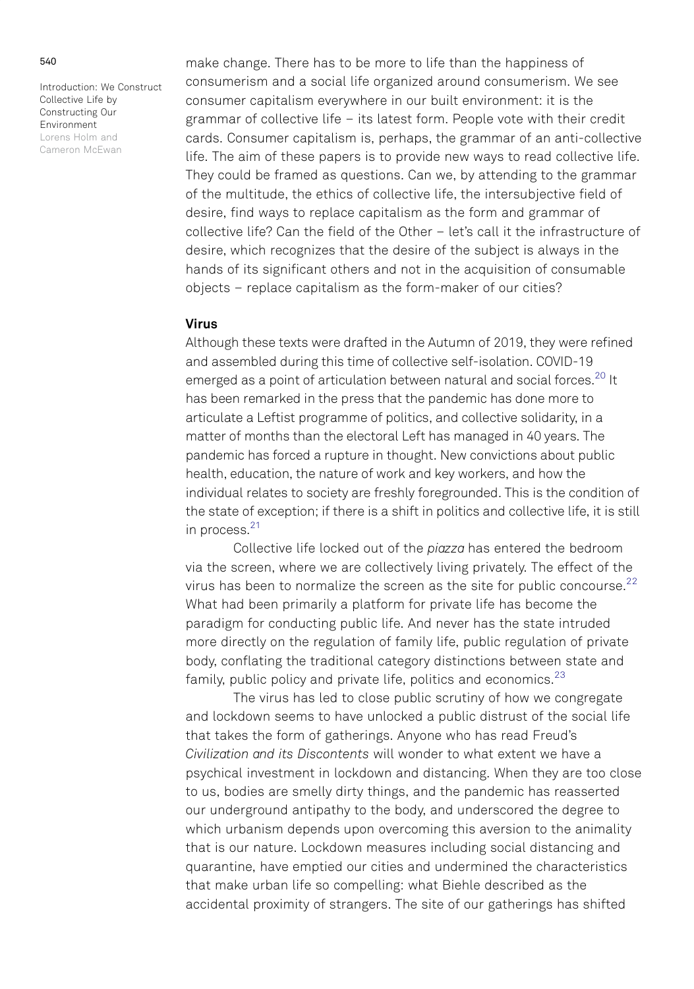<span id="page-12-0"></span>make change. There has to be more to life than the happiness of consumerism and a social life organized around consumerism. We see consumer capitalism everywhere in our built environment: it is the grammar of collective life – its latest form. People vote with their credit cards. Consumer capitalism is, perhaps, the grammar of an anti-collective life. The aim of these papers is to provide new ways to read collective life. They could be framed as questions. Can we, by attending to the grammar of the multitude, the ethics of collective life, the intersubjective field of desire, find ways to replace capitalism as the form and grammar of collective life? Can the field of the Other – let's call it the infrastructure of desire, which recognizes that the desire of the subject is always in the hands of its significant others and not in the acquisition of consumable objects – replace capitalism as the form-maker of our cities?

## Virus

Although these texts were drafted in the Autumn of 2019, they were refined and assembled during this time of collective self-isolation. COVID-19 emerged as a point of articulation between natural and social forces.<sup>[20](#page-18-0)</sup> It has been remarked in the press that the pandemic has done more to articulate a Leftist programme of politics, and collective solidarity, in a matter of months than the electoral Left has managed in 40 years. The pandemic has forced a rupture in thought. New convictions about public health, education, the nature of work and key workers, and how the individual relates to society are freshly foregrounded. This is the condition of the state of exception; if there is a shift in politics and collective life, it is still in process.<sup>[21](#page-18-0)</sup>

Collective life locked out of the piazza has entered the bedroom via the screen, where we are collectively living privately. The effect of the virus has been to normalize the screen as the site for public concourse. $22$ What had been primarily a platform for private life has become the paradigm for conducting public life. And never has the state intruded more directly on the regulation of family life, public regulation of private body, conflating the traditional category distinctions between state and family, public policy and private life, politics and economics. $23$ 

The virus has led to close public scrutiny of how we congregate and lockdown seems to have unlocked a public distrust of the social life that takes the form of gatherings. Anyone who has read Freud's Civilization and its Discontents will wonder to what extent we have a psychical investment in lockdown and distancing. When they are too close to us, bodies are smelly dirty things, and the pandemic has reasserted our underground antipathy to the body, and underscored the degree to which urbanism depends upon overcoming this aversion to the animality that is our nature. Lockdown measures including social distancing and quarantine, have emptied our cities and undermined the characteristics that make urban life so compelling: what Biehle described as the accidental proximity of strangers. The site of our gatherings has shifted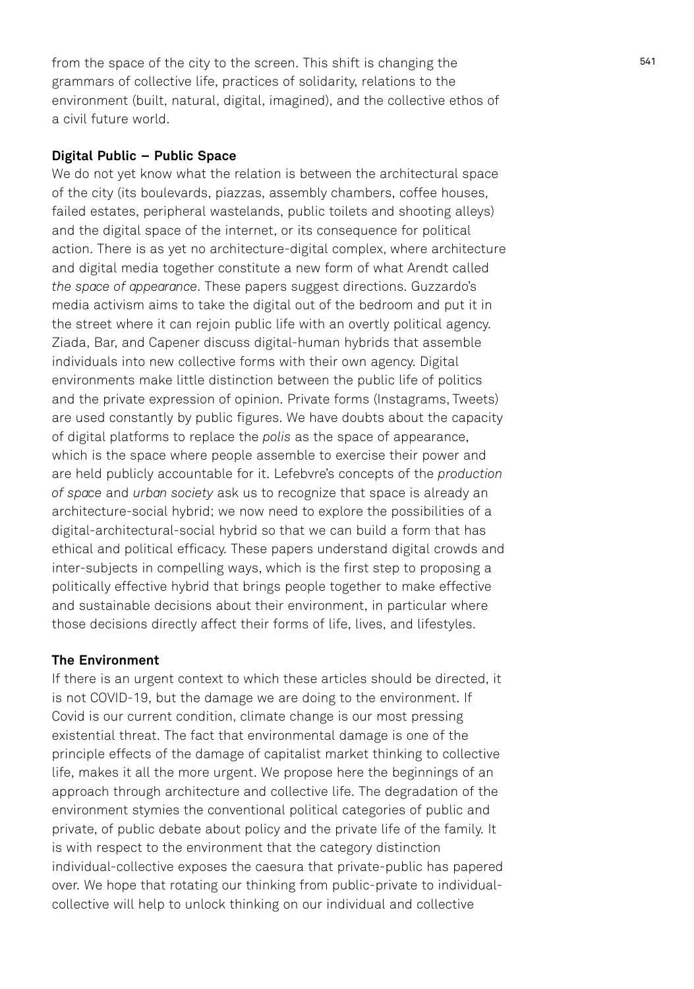from the space of the city to the screen. This shift is changing the grammars of collective life, practices of solidarity, relations to the environment (built, natural, digital, imagined), and the collective ethos of a civil future world.

## Digital Public – Public Space

We do not yet know what the relation is between the architectural space of the city (its boulevards, piazzas, assembly chambers, coffee houses, failed estates, peripheral wastelands, public toilets and shooting alleys) and the digital space of the internet, or its consequence for political action. There is as yet no architecture-digital complex, where architecture and digital media together constitute a new form of what Arendt called the space of appearance. These papers suggest directions. Guzzardo's media activism aims to take the digital out of the bedroom and put it in the street where it can rejoin public life with an overtly political agency. Ziada, Bar, and Capener discuss digital-human hybrids that assemble individuals into new collective forms with their own agency. Digital environments make little distinction between the public life of politics and the private expression of opinion. Private forms (Instagrams, Tweets) are used constantly by public figures. We have doubts about the capacity of digital platforms to replace the polis as the space of appearance, which is the space where people assemble to exercise their power and are held publicly accountable for it. Lefebvre's concepts of the production of space and urban society ask us to recognize that space is already an architecture-social hybrid; we now need to explore the possibilities of a digital-architectural-social hybrid so that we can build a form that has ethical and political efficacy. These papers understand digital crowds and inter-subjects in compelling ways, which is the first step to proposing a politically effective hybrid that brings people together to make effective and sustainable decisions about their environment, in particular where those decisions directly affect their forms of life, lives, and lifestyles.

# The Environment

If there is an urgent context to which these articles should be directed, it is not COVID-19, but the damage we are doing to the environment. If Covid is our current condition, climate change is our most pressing existential threat. The fact that environmental damage is one of the principle effects of the damage of capitalist market thinking to collective life, makes it all the more urgent. We propose here the beginnings of an approach through architecture and collective life. The degradation of the environment stymies the conventional political categories of public and private, of public debate about policy and the private life of the family. It is with respect to the environment that the category distinction individual-collective exposes the caesura that private-public has papered over. We hope that rotating our thinking from public-private to individualcollective will help to unlock thinking on our individual and collective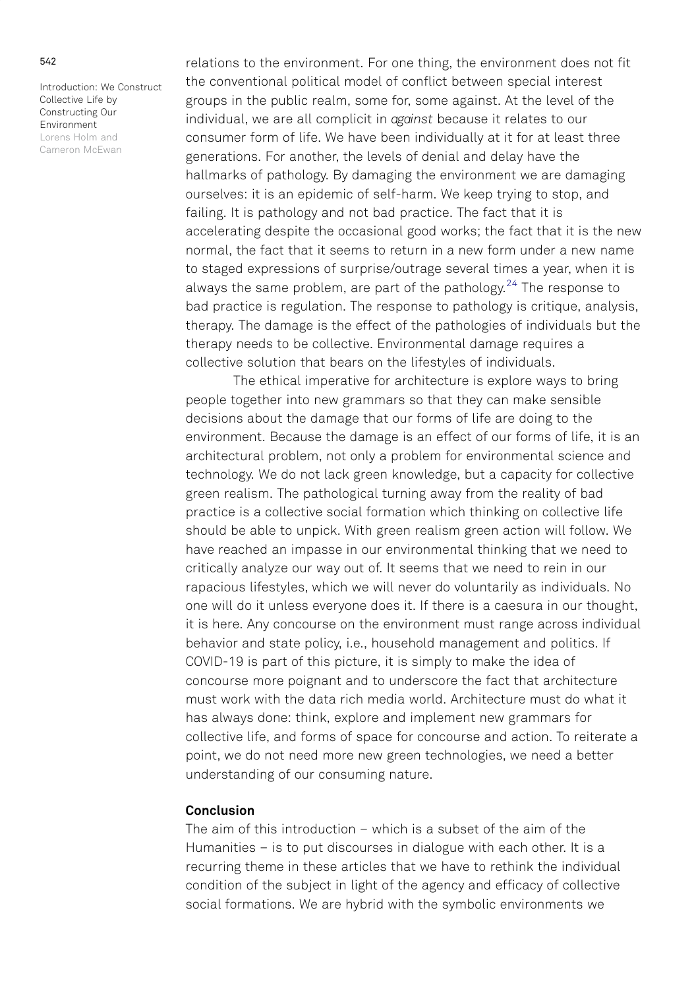<span id="page-14-0"></span>relations to the environment. For one thing, the environment does not fit the conventional political model of conflict between special interest groups in the public realm, some for, some against. At the level of the individual, we are all complicit in against because it relates to our consumer form of life. We have been individually at it for at least three generations. For another, the levels of denial and delay have the hallmarks of pathology. By damaging the environment we are damaging ourselves: it is an epidemic of self-harm. We keep trying to stop, and failing. It is pathology and not bad practice. The fact that it is accelerating despite the occasional good works; the fact that it is the new normal, the fact that it seems to return in a new form under a new name to staged expressions of surprise/outrage several times a year, when it is always the same problem, are part of the pathology.<sup>[24](#page-19-0)</sup> The response to bad practice is regulation. The response to pathology is critique, analysis, therapy. The damage is the effect of the pathologies of individuals but the therapy needs to be collective. Environmental damage requires a collective solution that bears on the lifestyles of individuals.

The ethical imperative for architecture is explore ways to bring people together into new grammars so that they can make sensible decisions about the damage that our forms of life are doing to the environment. Because the damage is an effect of our forms of life, it is an architectural problem, not only a problem for environmental science and technology. We do not lack green knowledge, but a capacity for collective green realism. The pathological turning away from the reality of bad practice is a collective social formation which thinking on collective life should be able to unpick. With green realism green action will follow. We have reached an impasse in our environmental thinking that we need to critically analyze our way out of. It seems that we need to rein in our rapacious lifestyles, which we will never do voluntarily as individuals. No one will do it unless everyone does it. If there is a caesura in our thought, it is here. Any concourse on the environment must range across individual behavior and state policy, i.e., household management and politics. If COVID-19 is part of this picture, it is simply to make the idea of concourse more poignant and to underscore the fact that architecture must work with the data rich media world. Architecture must do what it has always done: think, explore and implement new grammars for collective life, and forms of space for concourse and action. To reiterate a point, we do not need more new green technologies, we need a better understanding of our consuming nature.

## **Conclusion**

The aim of this introduction – which is a subset of the aim of the Humanities – is to put discourses in dialogue with each other. It is a recurring theme in these articles that we have to rethink the individual condition of the subject in light of the agency and efficacy of collective social formations. We are hybrid with the symbolic environments we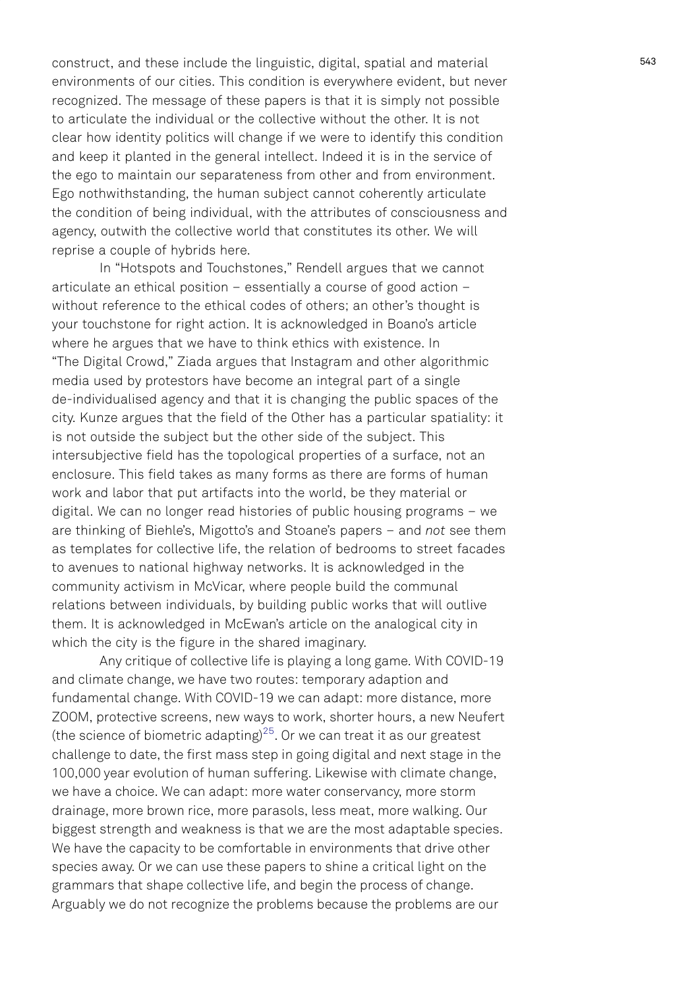<span id="page-15-0"></span>construct, and these include the linguistic, digital, spatial and material environments of our cities. This condition is everywhere evident, but never recognized. The message of these papers is that it is simply not possible to articulate the individual or the collective without the other. It is not clear how identity politics will change if we were to identify this condition and keep it planted in the general intellect. Indeed it is in the service of the ego to maintain our separateness from other and from environment. Ego nothwithstanding, the human subject cannot coherently articulate the condition of being individual, with the attributes of consciousness and agency, outwith the collective world that constitutes its other. We will reprise a couple of hybrids here.

In "Hotspots and Touchstones," Rendell argues that we cannot articulate an ethical position – essentially a course of good action – without reference to the ethical codes of others; an other's thought is your touchstone for right action. It is acknowledged in Boano's article where he argues that we have to think ethics with existence. In "The Digital Crowd," Ziada argues that Instagram and other algorithmic media used by protestors have become an integral part of a single de-individualised agency and that it is changing the public spaces of the city. Kunze argues that the field of the Other has a particular spatiality: it is not outside the subject but the other side of the subject. This intersubjective field has the topological properties of a surface, not an enclosure. This field takes as many forms as there are forms of human work and labor that put artifacts into the world, be they material or digital. We can no longer read histories of public housing programs – we are thinking of Biehle's, Migotto's and Stoane's papers – and not see them as templates for collective life, the relation of bedrooms to street facades to avenues to national highway networks. It is acknowledged in the community activism in McVicar, where people build the communal relations between individuals, by building public works that will outlive them. It is acknowledged in McEwan's article on the analogical city in which the city is the figure in the shared imaginary.

Any critique of collective life is playing a long game. With COVID-19 and climate change, we have two routes: temporary adaption and fundamental change. With COVID-19 we can adapt: more distance, more ZOOM, protective screens, new ways to work, shorter hours, a new Neufert (the science of biometric adapting)<sup>[25](#page-19-0)</sup>. Or we can treat it as our greatest challenge to date, the first mass step in going digital and next stage in the 100,000 year evolution of human suffering. Likewise with climate change, we have a choice. We can adapt: more water conservancy, more storm drainage, more brown rice, more parasols, less meat, more walking. Our biggest strength and weakness is that we are the most adaptable species. We have the capacity to be comfortable in environments that drive other species away. Or we can use these papers to shine a critical light on the grammars that shape collective life, and begin the process of change. Arguably we do not recognize the problems because the problems are our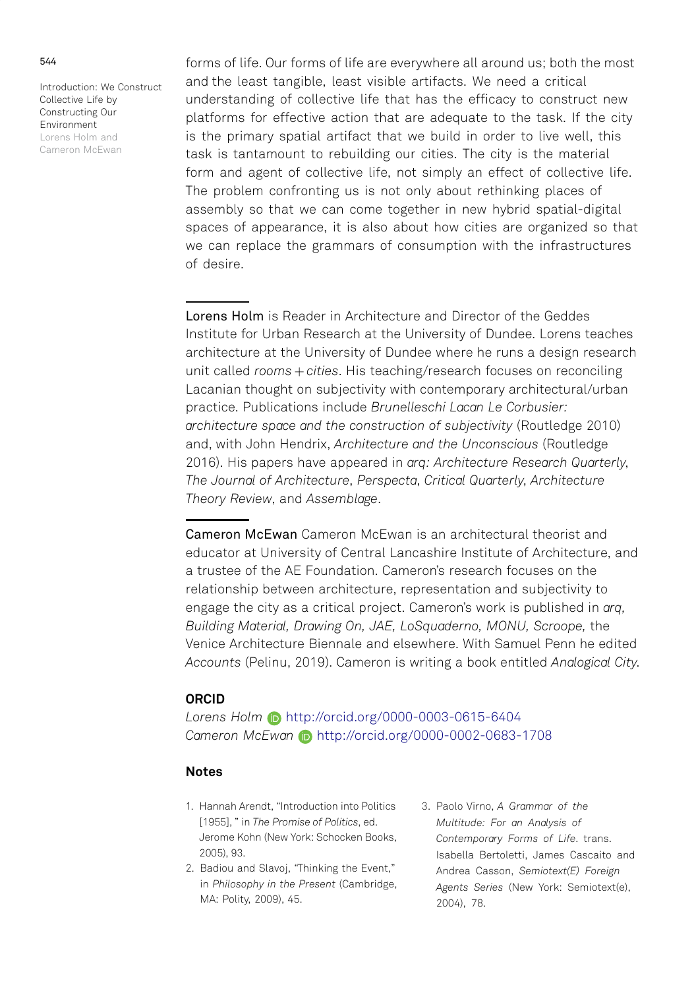<span id="page-16-0"></span>forms of life. Our forms of life are everywhere all around us; both the most and the least tangible, least visible artifacts. We need a critical understanding of collective life that has the efficacy to construct new platforms for effective action that are adequate to the task. If the city is the primary spatial artifact that we build in order to live well, this task is tantamount to rebuilding our cities. The city is the material form and agent of collective life, not simply an effect of collective life. The problem confronting us is not only about rethinking places of assembly so that we can come together in new hybrid spatial-digital spaces of appearance, it is also about how cities are organized so that we can replace the grammars of consumption with the infrastructures of desire.

Lorens Holm is Reader in Architecture and Director of the Geddes Institute for Urban Research at the University of Dundee. Lorens teaches architecture at the University of Dundee where he runs a design research unit called  $rooms + cities.$  His teaching/research focuses on reconciling Lacanian thought on subjectivity with contemporary architectural/urban practice. Publications include Brunelleschi Lacan Le Corbusier: architecture space and the construction of subjectivity (Routledge 2010) and, with John Hendrix, Architecture and the Unconscious (Routledge 2016). His papers have appeared in arq: Architecture Research Quarterly, The Journal of Architecture, Perspecta, Critical Quarterly, Architecture Theory Review, and Assemblage.

Cameron McEwan Cameron McEwan is an architectural theorist and educator at University of Central Lancashire Institute of Architecture, and a trustee of the AE Foundation. Cameron's research focuses on the relationship between architecture, representation and subjectivity to engage the city as a critical project. Cameron's work is published in arq, Building Material, Drawing On, JAE, LoSquaderno, MONU, Scroope, the Venice Architecture Biennale and elsewhere. With Samuel Penn he edited Accounts (Pelinu, 2019). Cameron is writing a book entitled Analogical City.

## ORCID

Lorens Holm http://orcid.org/0000-0003-0615-6404 Cameron McEwan (b) http://orcid.org/0000-0002-0683-1708

# Notes

- [1.](#page-1-0) Hannah Arendt, "Introduction into Politics [1955], " in The Promise of Politics, ed. Jerome Kohn (New York: Schocken Books, 2005), 93.
- [2.](#page-1-0) Badiou and Slavoj, "Thinking the Event," in Philosophy in the Present (Cambridge, MA: Polity, 2009), 45.
- [3.](#page-2-0) Paolo Virno, A Grammar of the Multitude: For an Analysis of Contemporary Forms of Life. trans. Isabella Bertoletti, James Cascaito and Andrea Casson, Semiotext(E) Foreign Agents Series (New York: Semiotext(e), 2004), 78.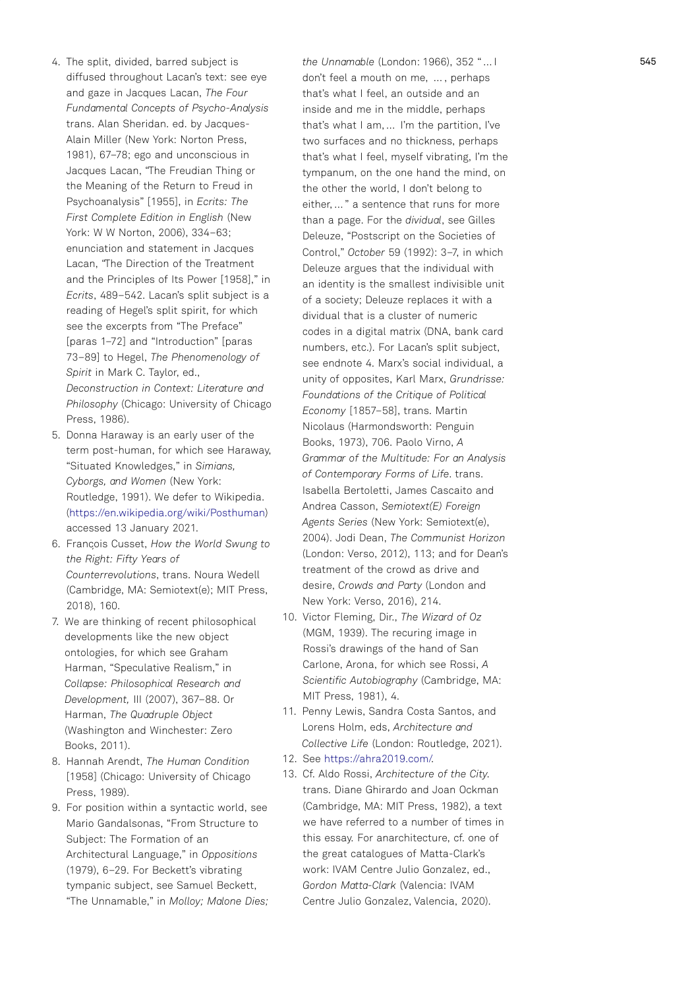- <span id="page-17-0"></span>[4.](#page-2-0) The split, divided, barred subject is diffused throughout Lacan 's text: see eye and gaze in Jacques Lacan, The Four Fundamental Concepts of Psycho-Analysis trans. Alan Sheridan. ed. by Jacques-Alain Miller (New York: Norton Press, 1981), 67 –78; ego and unconscious in Jacques Lacan, "The Freudian Thing or the Meaning of the Return to Freud in Psychoanalysis" [1955], in Ecrits: The First Complete Edition in English (New York: W W Norton, 2006), 334 –63; enunciation and statement in Jacques Lacan, "The Direction of the Treatment and the Principles of Its Power [1958], " in Ecrits, 489 –542. Lacan 's split subject is a reading of Hegel 's split spirit, for which see the excerpts from "The Preface " [paras 1 –72] and "Introduction " [paras 73 –89] to Hegel, The Phenomenology of Spirit in Mark C. Taylor, ed., Deconstruction in Context: Literature and Philosophy (Chicago: University of Chicago Press, 1986).
- [5.](#page-2-0) Donna Haraway is an early user of the term post-human, for which see Haraway, "Situated Knowledges," in Simians, Cyborgs, and Women (New York: Routledge, 1991). We defer to Wikipedia. [\(https://en.wikipedia.org/wiki/Posthuman](https://en.wikipedia.org/wiki/Posthuman) ) accessed 13 January 2021.
- [6.](#page-2-0) Francois Cusset, How the World Swung to the Right: Fifty Years of Counterrevolutions, trans. Noura Wedell (Cambridge, MA: Semiotext(e); MIT Press, 2018), 160.
- [7.](#page-2-0) We are thinking of recent philosophical developments like the new object ontologies, for which see Graham Harman, "Speculative Realism, " in Collapse: Philosophical Research and Development, III (2007), 367 –88. Or Harman, The Quadruple Object (Washington and Winchester: Zero Books, 2011).
- [8.](#page-4-0) Hannah Arendt, The Human Condition [1958] (Chicago: University of Chicago Press, 1989).
- [9.](#page-4-0) For position within a syntactic world, see Mario Gandalsonas, "From Structure to Subject: The Formation of an Architectural Language, " in Oppositions (1979), 6 –29. For Beckett 's vibrating tympanic subject, see Samuel Beckett, "The Unnamable," in Molloy; Malone Dies;

the Unnamable (London: 1966), 352 " … I don 't feel a mouth on me, … , perhaps that 's what I feel, an outside and an inside and me in the middle, perhaps that's what I am, ... I'm the partition, I've two surfaces and no thickness, perhaps that 's what I feel, myself vibrating, I 'm the tympanum, on the one hand the mind, on the other the world, I don 't belong to either, … " a sentence that runs for more than a page. For the dividual, see Gilles Deleuze, "Postscript on the Societies of Control, " October 59 (1992): 3 –7, in which Deleuze argues that the individual with an identity is the smallest indivisible unit of a society; Deleuze replaces it with a dividual that is a cluster of numeric codes in a digital matrix (DNA, bank card numbers, etc.). For Lacan 's split subject, see endnote 4. Marx 's social individual, a unity of opposites, Karl Marx, Grundrisse: Foundations of the Critique of Political Economy [1857 –58], trans. Martin Nicolaus (Harmondsworth: Penguin Books, 1973), 706. Paolo Virno, A Grammar of the Multitude: For an Analysis of Contemporary Forms of Life. trans. Isabella Bertoletti, James Cascaito and Andrea Casson, Semiotext(E) Foreign Agents Series (New York: Semiotext(e), 2004). Jodi Dean, The Communist Horizon (London: Verso, 2012), 113; and for Dean's treatment of the crowd as drive and desire, Crowds and Party (London and New York: Verso, 2016), 214.

- [10.](#page-5-0) Victor Fleming, Dir., The Wizard of Oz (MGM, 1939). The recuring image in Rossi 's drawings of the hand of San Carlone, Arona, for which see Rossi, A Scientific Autobiography (Cambridge, MA: MIT Press, 1981), 4.
- [11.](#page-7-0) Penny Lewis, Sandra Costa Santos, and Lorens Holm, eds, Architecture and Collective Life (London: Routledge, 2021).
- [12.](#page-7-0) See [https://ahra2019.com/.](https://ahra2019.com/)
- [13.](#page-7-0) Cf. Aldo Rossi, Architecture of the City. trans. Diane Ghirardo and Joan Ockman (Cambridge, MA: MIT Press, 1982), a text we have referred to a number of times in this essay. For anarchitecture, cf. one of the great catalogues of Matta-Clark's work: IVAM Centre Julio Gonzalez, ed., Gordon Matta-Clark (Valencia: IVAM Centre Julio Gonzalez, Valencia, 2020).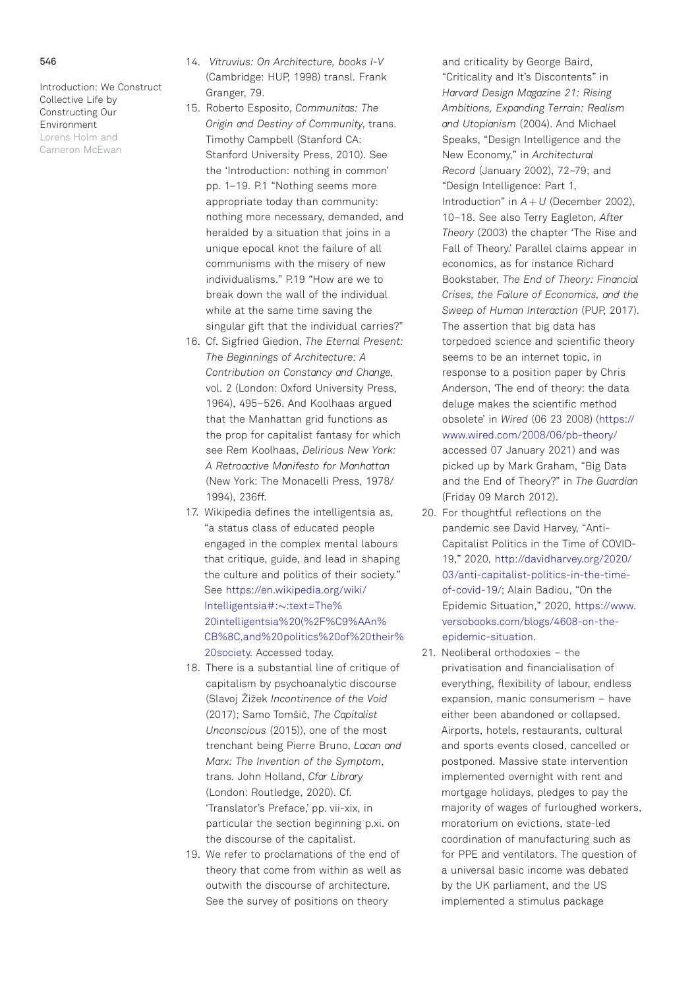### <span id="page-18-0"></span>546

Introduction: We Construct Collective Life by Constructing Our Environment Lorens Holm and Cameron McEwan

- [14.](#page-7-0) Vitruvius: On Architecture, books I-V (Cambridge: HUP, 1998) transl. Frank Granger, 79.
- [15.](#page-9-0) Roberto Esposito, Communitas: The Origin and Destiny of Community, trans. Timothy Campbell (Stanford CA: Stanford University Press, 2010). See the 'Introduction: nothing in common' pp. 1–19. P.1 "Nothing seems more appropriate today than community: nothing more necessary, demanded, and heralded by a situation that joins in a unique epocal knot the failure of all communisms with the misery of new individualisms." P.19 "How are we to break down the wall of the individual while at the same time saving the singular gift that the individual carries?"
- [16.](#page-10-0) Cf. Sigfried Giedion, The Eternal Present: The Beginnings of Architecture: A Contribution on Constancy and Change, vol. 2 (London: Oxford University Press, 1964), 495–526. And Koolhaas argued that the Manhattan grid functions as the prop for capitalist fantasy for which see Rem Koolhaas, Delirious New York: A Retroactive Manifesto for Manhattan (New York: The Monacelli Press, 1978/ 1994), 236ff.
- [17.](#page-11-0) Wikipedia defines the intelligentsia as, "a status class of educated people engaged in the complex mental labours that critique, guide, and lead in shaping the culture and politics of their society." See https://en.wikipedia.org/wiki/ Intelligentsia#:~:text=The% 20intelligentsia%20(%2F%C9%AAn% CB%8C,and%20politics%20of%20their% 20society. Accessed today.
- [18.](#page-11-0) There is a substantial line of critique of capitalism by psychoanalytic discourse (Slavoj Žižek Incontinence of the Void (2017); Samo Tomšič, The Capitalist Unconscious (2015)), one of the most trenchant being Pierre Bruno, Lacan and Marx: The Invention of the Symptom, trans. John Holland, Cfar Library (London: Routledge, 2020). Cf. 'Translator's Preface,' pp. vii-xix, in particular the section beginning p.xi. on the discourse of the capitalist.
- [19.](#page-11-0) We refer to proclamations of the end of theory that come from within as well as outwith the discourse of architecture. See the survey of positions on theory

and criticality by George Baird, "Criticality and It's Discontents" in Harvard Design Magazine 21: Rising Ambitions, Expanding Terrain: Realism and Utopianism (2004). And Michael Speaks, "Design Intelligence and the New Economy," in Architectural Record (January 2002), 72–79; and "Design Intelligence: Part 1, Introduction" in  $A + U$  (December 2002), 10–18. See also Terry Eagleton, After Theory (2003) the chapter 'The Rise and Fall of Theory.' Parallel claims appear in economics, as for instance Richard Bookstaber, The End of Theory: Financial Crises, the Failure of Economics, and the Sweep of Human Interaction (PUP, 2017). The assertion that big data has torpedoed science and scientific theory seems to be an internet topic, in response to a position paper by Chris Anderson. The end of theory: the data deluge makes the scientific method obsolete' in Wired (06 23 2008) ([https://](https://www.wired.com/2008/06/pb-theory/) [www.wired.com/2008/06/pb-theory/](https://www.wired.com/2008/06/pb-theory/) accessed 07 January 2021) and was picked up by Mark Graham, "Big Data and the End of Theory?" in The Guardian (Friday 09 March 2012).

- [20.](#page-12-0) For thoughtful reflections on the pandemic see David Harvey, "Anti-Capitalist Politics in the Time of COVID-19," 2020, [http://davidharvey.org/2020/](http://davidharvey.org/2020/03/anti-capitalist-politics-in-the-time-of-covid-19/) [03/anti-capitalist-politics-in-the-time](http://davidharvey.org/2020/03/anti-capitalist-politics-in-the-time-of-covid-19/)[of-covid-19/;](http://davidharvey.org/2020/03/anti-capitalist-politics-in-the-time-of-covid-19/) Alain Badiou, "On the Epidemic Situation," 2020, [https://www.](https://www.versobooks.com/blogs/4608-on-the-epidemic-situation) [versobooks.com/blogs/4608-on-the](https://www.versobooks.com/blogs/4608-on-the-epidemic-situation)[epidemic-situation](https://www.versobooks.com/blogs/4608-on-the-epidemic-situation).
- [21.](#page-12-0) Neoliberal orthodoxies the privatisation and financialisation of everything, flexibility of labour, endless expansion, manic consumerism – have either been abandoned or collapsed. Airports, hotels, restaurants, cultural and sports events closed, cancelled or postponed. Massive state intervention implemented overnight with rent and mortgage holidays, pledges to pay the majority of wages of furloughed workers, moratorium on evictions, state-led coordination of manufacturing such as for PPE and ventilators. The question of a universal basic income was debated by the UK parliament, and the US implemented a stimulus package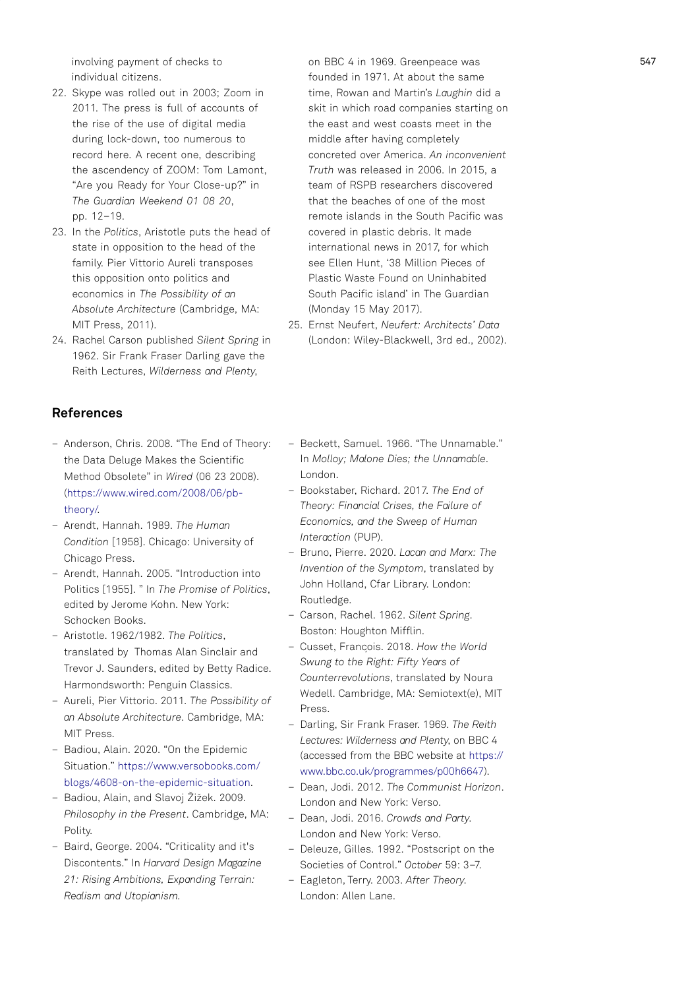<span id="page-19-0"></span>involving payment of checks to individual citizens.

- [22.](#page-12-0) Skype was rolled out in 2003; Zoom in 2011. The press is full of accounts of the rise of the use of digital media during lock-down, too numerous to record here. A recent one, describing the ascendency of ZOOM: Tom Lamont, "Are you Ready for Your Close-up?" in The Guardian Weekend 01 08 20, pp. 12–19.
- [23.](#page-12-0) In the Politics, Aristotle puts the head of state in opposition to the head of the family. Pier Vittorio Aureli transposes this opposition onto politics and economics in The Possibility of an Absolute Architecture (Cambridge, MA: MIT Press, 2011).
- [24.](#page-14-0) Rachel Carson published Silent Spring in 1962. Sir Frank Fraser Darling gave the Reith Lectures, Wilderness and Plenty,

## References

- Anderson, Chris. 2008. "The End of Theory: the Data Deluge Makes the Scientific Method Obsolete" in Wired (06 23 2008). ([https://www.wired.com/2008/06/pb](https://www.wired.com/2008/06/pb-theory/)[theory/.](https://www.wired.com/2008/06/pb-theory/)
- Arendt, Hannah. 1989. The Human Condition [1958]. Chicago: University of Chicago Press.
- Arendt, Hannah. 2005. "Introduction into Politics [1955]. " In The Promise of Politics, edited by Jerome Kohn. New York: Schocken Books.
- Aristotle. 1962/1982. The Politics, translated by Thomas Alan Sinclair and Trevor J. Saunders, edited by Betty Radice. Harmondsworth: Penguin Classics.
- Aureli, Pier Vittorio. 2011. The Possibility of an Absolute Architecture. Cambridge, MA: MIT Press.
- Badiou, Alain. 2020. "On the Epidemic Situation." [https://www.versobooks.com/](https://www.versobooks.com/blogs/4608-on-the-epidemic-situation) [blogs/4608-on-the-epidemic-situation](https://www.versobooks.com/blogs/4608-on-the-epidemic-situation).
- Badiou, Alain, and Slavoj Žižek. 2009. Philosophy in the Present. Cambridge, MA: Polity.
- Baird, George. 2004. "Criticality and it's Discontents." In Harvard Design Magazine 21: Rising Ambitions, Expanding Terrain: Realism and Utopianism.

on BBC 4 in 1969. Greenpeace was founded in 1971. At about the same time, Rowan and Martin's Laughin did a skit in which road companies starting on the east and west coasts meet in the middle after having completely concreted over America. An inconvenient Truth was released in 2006. In 2015, a team of RSPB researchers discovered that the beaches of one of the most remote islands in the South Pacific was covered in plastic debris. It made international news in 2017, for which see Ellen Hunt, '38 Million Pieces of Plastic Waste Found on Uninhabited South Pacific island' in The Guardian (Monday 15 May 2017).

- [25.](#page-15-0) Ernst Neufert, Neufert: Architects' Data (London: Wiley-Blackwell, 3rd ed., 2002).
- Beckett, Samuel. 1966. "The Unnamable." In Molloy; Malone Dies; the Unnamable. London.
- Bookstaber, Richard. 2017. The End of Theory: Financial Crises, the Failure of Economics, and the Sweep of Human Interaction (PUP).
- Bruno, Pierre. 2020. Lacan and Marx: The Invention of the Symptom, translated by John Holland, Cfar Library. London: Routledge.
- Carson, Rachel. 1962. Silent Spring. Boston: Houghton Mifflin.
- Cusset, Francois. 2018. How the World Swung to the Right: Fifty Years of Counterrevolutions, translated by Noura Wedell. Cambridge, MA: Semiotext(e), MIT Press.
- Darling, Sir Frank Fraser. 1969. The Reith Lectures: Wilderness and Plenty, on BBC 4 (accessed from the BBC website at [https://](https://www.bbc.co.uk/programmes/p00h6647) [www.bbc.co.uk/programmes/p00h6647](https://www.bbc.co.uk/programmes/p00h6647)).
- Dean, Jodi. 2012. The Communist Horizon. London and New York: Verso.
- Dean, Jodi. 2016. Crowds and Party. London and New York: Verso.
- Deleuze, Gilles. 1992. "Postscript on the Societies of Control." October 59: 3–7.
- Eagleton, Terry. 2003. After Theory. London: Allen Lane.